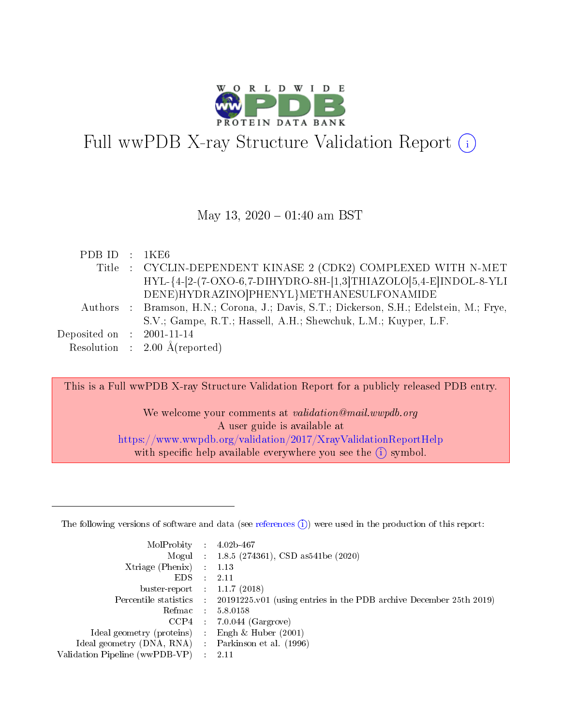

# Full wwPDB X-ray Structure Validation Report  $(i)$

#### May 13,  $2020 - 01:40$  am BST

| PDB ID : 1KE6               |                                                                                         |
|-----------------------------|-----------------------------------------------------------------------------------------|
|                             | Title : CYCLIN-DEPENDENT KINASE 2 (CDK2) COMPLEXED WITH N-MET                           |
|                             | HYL-{4-[2-(7-OXO-6,7-DIHYDRO-8H-[1,3]THIAZOLO[5,4-E]INDOL-8-YLI                         |
|                             | DENE)HYDRAZINO PHENYL}METHANESULFONAMIDE                                                |
|                             | Authors : Bramson, H.N.; Corona, J.; Davis, S.T.; Dickerson, S.H.; Edelstein, M.; Frye, |
|                             | S.V.; Gampe, R.T.; Hassell, A.H.; Shewchuk, L.M.; Kuyper, L.F.                          |
| Deposited on : $2001-11-14$ |                                                                                         |
|                             | Resolution : $2.00 \text{ Å}$ (reported)                                                |

This is a Full wwPDB X-ray Structure Validation Report for a publicly released PDB entry.

We welcome your comments at *validation@mail.wwpdb.org* A user guide is available at <https://www.wwpdb.org/validation/2017/XrayValidationReportHelp> with specific help available everywhere you see the  $(i)$  symbol.

The following versions of software and data (see [references](https://www.wwpdb.org/validation/2017/XrayValidationReportHelp#references)  $(1)$ ) were used in the production of this report:

| MolProbity :                   |               | $4.02b - 467$                                                               |
|--------------------------------|---------------|-----------------------------------------------------------------------------|
|                                |               | Mogul : $1.8.5$ (274361), CSD as 541be (2020)                               |
| $X$ triage (Phenix) :          |               | 1.13                                                                        |
| EDS.                           |               | 2.11                                                                        |
| buster-report : $1.1.7$ (2018) |               |                                                                             |
| Percentile statistics :        |               | $20191225 \text{v}01$ (using entries in the PDB archive December 25th 2019) |
| Refmac :                       |               | 5.8.0158                                                                    |
| $CCP4$ :                       |               | $7.0.044$ (Gargrove)                                                        |
| Ideal geometry (proteins) :    |               | Engh $\&$ Huber (2001)                                                      |
| Ideal geometry (DNA, RNA) :    |               | Parkinson et al. (1996)                                                     |
| Validation Pipeline (wwPDB-VP) | $\mathcal{L}$ | 2.11                                                                        |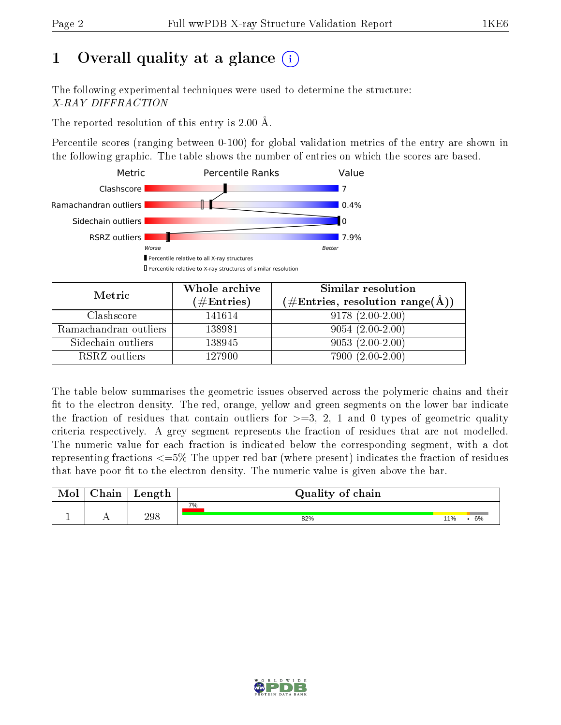# 1 [O](https://www.wwpdb.org/validation/2017/XrayValidationReportHelp#overall_quality)verall quality at a glance  $(i)$

The following experimental techniques were used to determine the structure: X-RAY DIFFRACTION

The reported resolution of this entry is  $2.00 \text{ Å}.$ 

Percentile scores (ranging between 0-100) for global validation metrics of the entry are shown in the following graphic. The table shows the number of entries on which the scores are based.



| Metric                | Whole archive       | Similar resolution              |
|-----------------------|---------------------|---------------------------------|
|                       | (# $\rm{Entries}$ ) | (#Entries, resolution range(Å)) |
| Clashscore            | 141614              | $9178(2.00-2.00)$               |
| Ramachandran outliers | 138981              | $9054(2.00-2.00)$               |
| Sidechain outliers    | 138945              | $9053(2.00-2.00)$               |
| RSRZ outliers         | 127900              | $7900(2.00-2.00)$               |

The table below summarises the geometric issues observed across the polymeric chains and their fit to the electron density. The red, orange, yellow and green segments on the lower bar indicate the fraction of residues that contain outliers for  $\geq=3$ , 2, 1 and 0 types of geometric quality criteria respectively. A grey segment represents the fraction of residues that are not modelled. The numeric value for each fraction is indicated below the corresponding segment, with a dot representing fractions  $\epsilon = 5\%$  The upper red bar (where present) indicates the fraction of residues that have poor fit to the electron density. The numeric value is given above the bar.

| $\gamma$ hain | Length | Quality of chain |     |    |
|---------------|--------|------------------|-----|----|
|               |        | 7%               |     |    |
|               | 298    | 82%              | 11% | 6% |

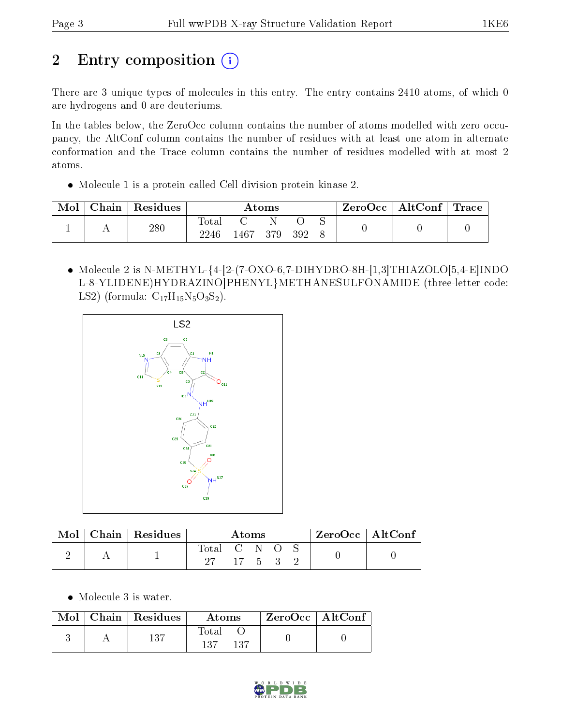# 2 Entry composition (i)

There are 3 unique types of molecules in this entry. The entry contains 2410 atoms, of which 0 are hydrogens and 0 are deuteriums.

In the tables below, the ZeroOcc column contains the number of atoms modelled with zero occupancy, the AltConf column contains the number of residues with at least one atom in alternate conformation and the Trace column contains the number of residues modelled with at most 2 atoms.

Molecule 1 is a protein called Cell division protein kinase 2.

| Mol | Chain | Residues | Atoms |          |     | $\rm ZeroOcc \mid AltConf \mid Trace$ |  |  |  |
|-----|-------|----------|-------|----------|-----|---------------------------------------|--|--|--|
|     |       | 280      | Total |          |     |                                       |  |  |  |
|     |       |          | 2246  | $1467 -$ | 379 | 392                                   |  |  |  |

• Molecule 2 is N-METHYL- $\{4-[2-(7-OXO-6,7-DIHYDRO-8H-[1,3]THIAZOLO[5,4-E]INDO]$ L-8-YLIDENE)HYDRAZINO]PHENYL}METHANESULFONAMIDE (three-letter code: LS2) (formula:  $C_{17}H_{15}N_5O_3S_2$ ).



| Mol | Chain   Residues | Atoms       |                    |  | $ZeroOcc \mid AltConf$ |  |
|-----|------------------|-------------|--------------------|--|------------------------|--|
|     |                  | $\rm Total$ | CNO.               |  |                        |  |
|     |                  |             | $17\quad 5\quad 3$ |  |                        |  |

• Molecule 3 is water.

|  | $\text{Mol}$   Chain   Residues | Atoms                 | $ZeroOcc$   AltConf |  |
|--|---------------------------------|-----------------------|---------------------|--|
|  | 137                             | Total<br>137<br>- 137 |                     |  |

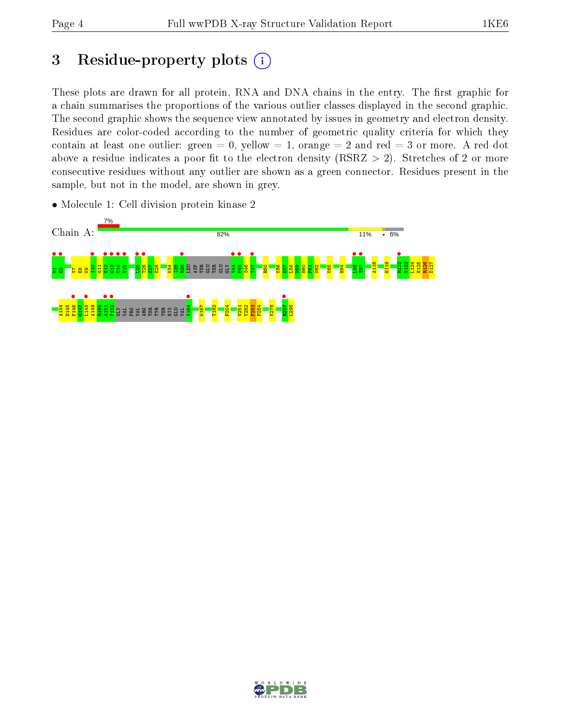## 3 Residue-property plots  $(i)$

These plots are drawn for all protein, RNA and DNA chains in the entry. The first graphic for a chain summarises the proportions of the various outlier classes displayed in the second graphic. The second graphic shows the sequence view annotated by issues in geometry and electron density. Residues are color-coded according to the number of geometric quality criteria for which they contain at least one outlier: green  $= 0$ , yellow  $= 1$ , orange  $= 2$  and red  $= 3$  or more. A red dot above a residue indicates a poor fit to the electron density (RSRZ  $> 2$ ). Stretches of 2 or more consecutive residues without any outlier are shown as a green connector. Residues present in the sample, but not in the model, are shown in grey.





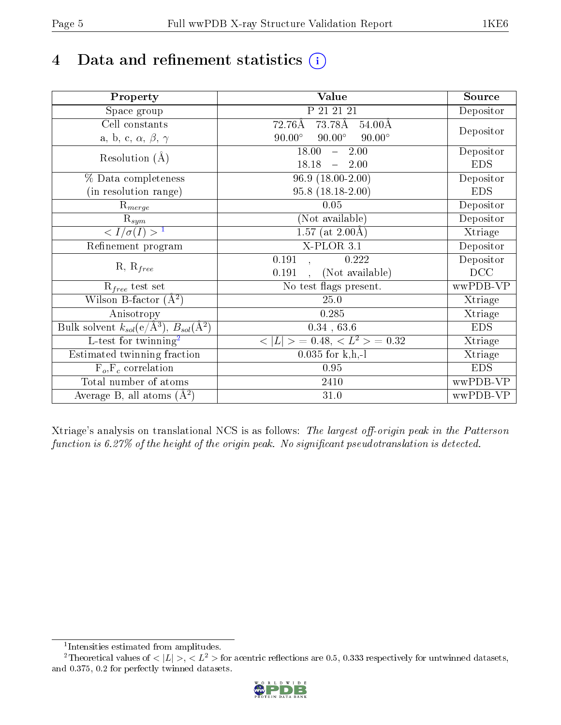# 4 Data and refinement statistics  $(i)$

| Property                                                   | Value                                            | Source     |
|------------------------------------------------------------|--------------------------------------------------|------------|
| Space group                                                | P 21 21 21                                       | Depositor  |
| Cell constants                                             | 73.78Å<br>72.76Å<br>$54.00\text{\AA}$            |            |
| a, b, c, $\alpha$ , $\beta$ , $\gamma$                     | $90.00^\circ$<br>$90.00^\circ$<br>$90.00^\circ$  | Depositor  |
| Resolution $(A)$                                           | 18.00<br>2.00<br>$\frac{1}{2}$                   | Depositor  |
|                                                            | 18.18<br>$-2.00$                                 | <b>EDS</b> |
| % Data completeness                                        | $96.9(18.00-2.00)$                               | Depositor  |
| (in resolution range)                                      | $95.8(18.18-2.00)$                               | <b>EDS</b> |
| $\mathrm{R}_{merge}$                                       | 0.05                                             | Depositor  |
| $\mathrm{R}_{sym}$                                         | (Not available)                                  | Depositor  |
| $\sqrt{I/\sigma}(I) > 1$                                   | $\overline{1.57}$ (at 2.00Å)                     | Xtriage    |
| Refinement program                                         | $X$ -PLOR $3.1$                                  | Depositor  |
| $R, R_{free}$                                              | 0.191<br>0.222                                   | Depositor  |
|                                                            | (Not available)<br>0.191<br>$\ddot{\phantom{a}}$ | DCC        |
| $R_{free}$ test set                                        | No test flags present.                           | wwPDB-VP   |
| Wilson B-factor $(A^2)$                                    | 25.0                                             | Xtriage    |
| Anisotropy                                                 | 0.285                                            | Xtriage    |
| Bulk solvent $k_{sol}$ (e/Å <sup>3</sup> ), $B_{sol}(A^2)$ | $0.34$ , 63.6                                    | <b>EDS</b> |
| $\overline{L-test for}$ twinning <sup>2</sup>              | $< L >$ = 0.48, $< L2$ = 0.32                    | Xtriage    |
| Estimated twinning fraction                                | $0.035$ for k,h,-l                               | Xtriage    |
| $F_o, F_c$ correlation                                     | 0.95                                             | <b>EDS</b> |
| Total number of atoms                                      | 2410                                             | wwPDB-VP   |
| Average B, all atoms $(A^2)$                               | 31.0                                             | wwPDB-VP   |

Xtriage's analysis on translational NCS is as follows: The largest off-origin peak in the Patterson function is  $6.27\%$  of the height of the origin peak. No significant pseudotranslation is detected.

<sup>&</sup>lt;sup>2</sup>Theoretical values of  $\langle |L| \rangle$ ,  $\langle L^2 \rangle$  for acentric reflections are 0.5, 0.333 respectively for untwinned datasets, and 0.375, 0.2 for perfectly twinned datasets.



<span id="page-4-1"></span><span id="page-4-0"></span><sup>1</sup> Intensities estimated from amplitudes.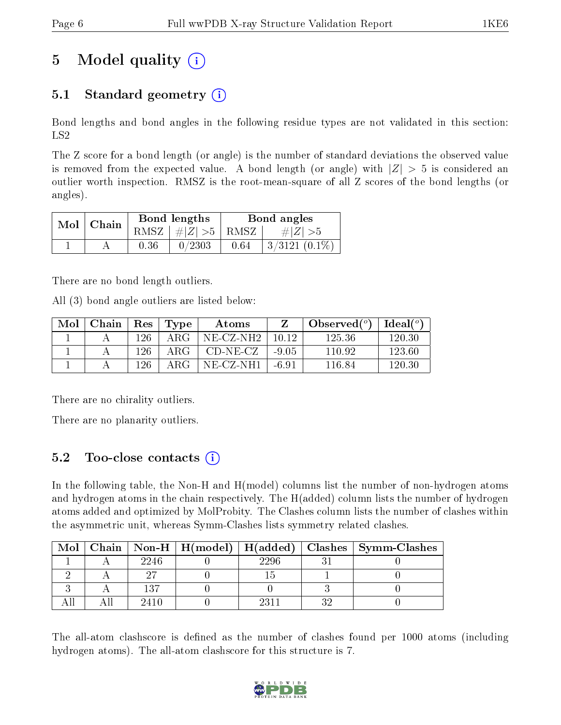## 5 Model quality  $(i)$

## 5.1 Standard geometry  $(i)$

Bond lengths and bond angles in the following residue types are not validated in this section: LS2

The Z score for a bond length (or angle) is the number of standard deviations the observed value is removed from the expected value. A bond length (or angle) with  $|Z| > 5$  is considered an outlier worth inspection. RMSZ is the root-mean-square of all Z scores of the bond lengths (or angles).

| $Mol$   Chain |      | Bond lengths                | Bond angles |                 |  |
|---------------|------|-----------------------------|-------------|-----------------|--|
|               |      | $RMSZ \mid # Z  > 5$   RMSZ |             | $\# Z  > 5$     |  |
|               | 0.36 | 0/2303                      | 0.64        | $3/3121(0.1\%)$ |  |

There are no bond length outliers.

All (3) bond angle outliers are listed below:

| Mol | Chain | Res | Type | Atoms          |         | Observed $(°)$ | $\text{Ideal}({}^o)$ |
|-----|-------|-----|------|----------------|---------|----------------|----------------------|
|     |       | 126 | ARG  | NE-CZ-NH2      | 10.12   | 125.36         | 120.30               |
|     |       | 126 | ARG  | $CD-NE- CZ$    | $-9.05$ | 110.92         | 123.60               |
|     |       | 126 | ARG  | $NE$ $CZ$ -NH1 | -6.91   | 116.84         | 120.30               |

There are no chirality outliers.

There are no planarity outliers.

### 5.2 Too-close contacts (i)

In the following table, the Non-H and H(model) columns list the number of non-hydrogen atoms and hydrogen atoms in the chain respectively. The H(added) column lists the number of hydrogen atoms added and optimized by MolProbity. The Clashes column lists the number of clashes within the asymmetric unit, whereas Symm-Clashes lists symmetry related clashes.

| Mol |      |      |    | Chain   Non-H   H(model)   H(added)   Clashes   Symm-Clashes |
|-----|------|------|----|--------------------------------------------------------------|
|     | 2246 | 2296 |    |                                                              |
|     |      |      |    |                                                              |
|     | 137  |      |    |                                                              |
|     | 2410 |      | ິດ |                                                              |

The all-atom clashscore is defined as the number of clashes found per 1000 atoms (including hydrogen atoms). The all-atom clashscore for this structure is 7.

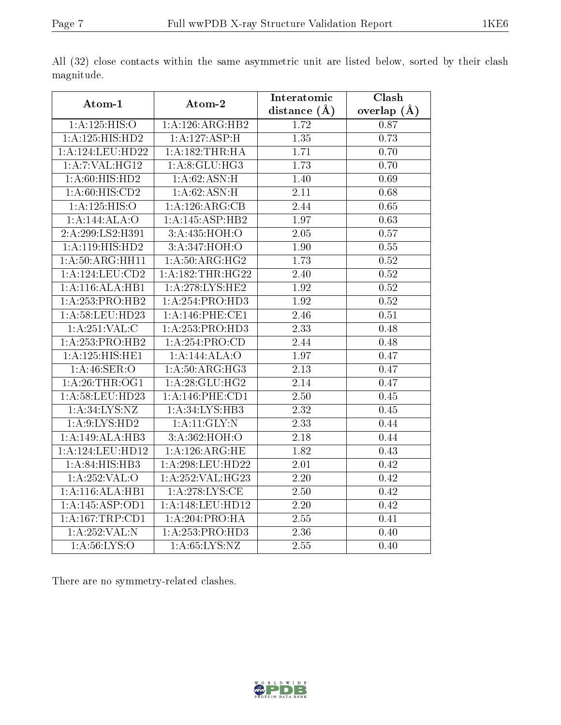| Atom-1              | Atom-2            | Interatomic       | $\overline{\text{Clash}}$ |
|---------------------|-------------------|-------------------|---------------------------|
|                     |                   | distance $(\AA)$  | overlap $(A)$             |
| 1: A: 125: HIS: O   | 1:A:126:ARG:HB2   | 1.72              | 0.87                      |
| 1:A:125:HIS:HD2     | 1:A:127:ASP:H     | 1.35              | 0.73                      |
| 1:A:124:LEU:HD22    | 1: A: 182:THR:HA  | 1.71              | 0.70                      |
| 1: A: 7: VAL:HG12   | 1: A:8: GLU: HG3  | 1.73              | 0.70                      |
| 1: A:60: HIS: HD2   | 1:A:62:ASN:H      | 1.40              | 0.69                      |
| 1: A:60: HIS:CD2    | 1:A:62:ASN:H      | 2.11              | 0.68                      |
| 1:A:125:HIS:O       | 1:A:126:ARG:CB    | 2.44              | 0.65                      |
| 1:A:144:ALA:O       | 1:A:145:ASP:HB2   | 1.97              | 0.63                      |
| 2:A:299:LS2:H391    | 3:A.435:HOH:O     | $\overline{2.05}$ | $\overline{0.57}$         |
| 1:A:119:HIS:HD2     | 3:A:347:HOH:O     | 1.90              | 0.55                      |
| 1:A:50:ARG:HH11     | 1: A:50: ARG: HG2 | 1.73              | 0.52                      |
| 1: A: 124: LEU: CD2 | 1:A:182:THR:HG22  | 2.40              | 0.52                      |
| 1: A:116: ALA:HB1   | 1:A:278:LYS:HE2   | 1.92              | 0.52                      |
| 1:A:253:PRO:HB2     | 1:A:254:PRO:HD3   | 1.92              | 0.52                      |
| 1:A:58:LEU:HD23     | 1:A:146:PHE:CE1   | 2.46              | 0.51                      |
| 1: A:251: VAL: C    | 1:A:253:PRO:HD3   | 2.33              | 0.48                      |
| 1:A:253:PRO:HB2     | 1: A:254:PRO:CD   | 2.44              | 0.48                      |
| 1:A:125:HIS:HE1     | 1:A:144:ALA:O     | 1.97              | 0.47                      |
| 1: A:46: SER:O      | 1:A:50:ARG:HG3    | 2.13              | 0.47                      |
| 1: A:26:THR:OG1     | 1: A:28: GLU:HG2  | 2.14              | 0.47                      |
| 1:A:58:LEU:HD23     | 1:A:146:PHE:CD1   | $\overline{2.50}$ | 0.45                      |
| 1:A:34:LYS:NZ       | 1:A:34:LYS:HB3    | 2.32              | 0.45                      |
| 1: A:9: LYS: HD2    | 1:A:11:GLY:N      | 2.33              | 0.44                      |
| 1:A:149:ALA:HB3     | 3: A:362: HOH:O   | 2.18              | 0.44                      |
| 1:A:124:LEU:HD12    | 1: A:126:ARG:HE   | 1.82              | 0.43                      |
| 1:A:84:HIS:HB3      | 1: A:298:LEU:HD22 | 2.01              | 0.42                      |
| 1:A:252:VAL:O       | 1:A:252:VAL:HG23  | 2.20              | 0.42                      |
| 1:A:116:ALA:HB1     | 1: A:278:LYS:CE   | 2.50              | 0.42                      |
| 1:A:145:ASP:OD1     | 1:A:148:LEU:HD12  | 2.20              | 0.42                      |
| 1:A:167:TRP:CD1     | 1:A:204:PRO:HA    | 2.55              | 0.41                      |
| 1:A:252:VAL: N      | 1:A:253:PRO:HD3   | 2.36              | 0.40                      |
| 1: A:56: LYS:O      | 1: A:65: LYS:NZ   | 2.55              | 0.40                      |

All (32) close contacts within the same asymmetric unit are listed below, sorted by their clash magnitude.

There are no symmetry-related clashes.

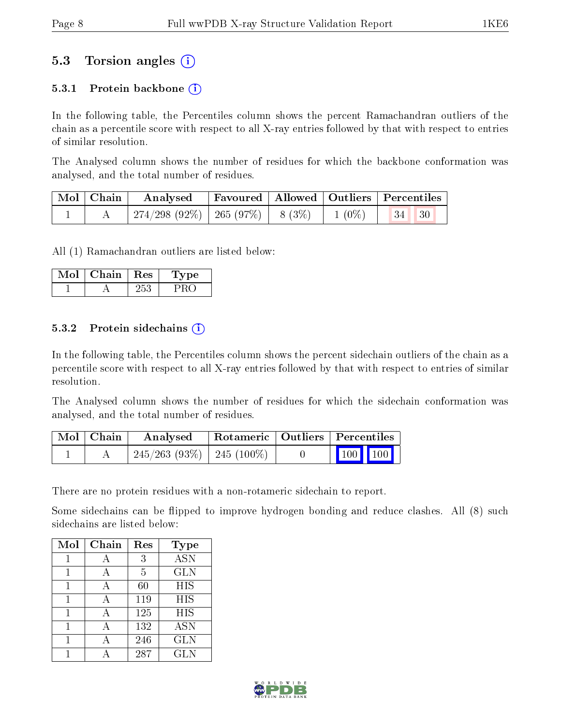## 5.3 Torsion angles (i)

#### 5.3.1 Protein backbone  $(i)$

In the following table, the Percentiles column shows the percent Ramachandran outliers of the chain as a percentile score with respect to all X-ray entries followed by that with respect to entries of similar resolution.

The Analysed column shows the number of residues for which the backbone conformation was analysed, and the total number of residues.

| Mol   Chain | Analysed                           |  |                                                                    | Favoured   Allowed   Outliers   Percentiles |  |
|-------------|------------------------------------|--|--------------------------------------------------------------------|---------------------------------------------|--|
|             | 274/298 (92%)   265 (97%)   8 (3%) |  | $\begin{array}{ c c c c c } \hline 1 & (0\%) & \hline \end{array}$ | $\vert 34 \vert \vert 30$                   |  |

All (1) Ramachandran outliers are listed below:

| Mol | Chain | ${\rm Res}$ | Lype |
|-----|-------|-------------|------|
|     |       | 253         |      |

#### 5.3.2 Protein sidechains  $\left( \widehat{\mathbf{i}} \right)$

In the following table, the Percentiles column shows the percent sidechain outliers of the chain as a percentile score with respect to all X-ray entries followed by that with respect to entries of similar resolution.

The Analysed column shows the number of residues for which the sidechain conformation was analysed, and the total number of residues.

| Mol   Chain | Analysed                                      |  | Rotameric   Outliers   Percentiles         |  |
|-------------|-----------------------------------------------|--|--------------------------------------------|--|
|             | $\mid$ 245/263 (93%) $\mid$ 245 (100%) $\mid$ |  | $\begin{bmatrix} 100 \\ 100 \end{bmatrix}$ |  |

There are no protein residues with a non-rotameric sidechain to report.

Some sidechains can be flipped to improve hydrogen bonding and reduce clashes. All (8) such sidechains are listed below:

| Mol | Chain | Res            | Type       |
|-----|-------|----------------|------------|
|     | А     | 3              | <b>ASN</b> |
|     | А     | $\overline{5}$ | <b>GLN</b> |
|     | А     | 60             | <b>HIS</b> |
|     | А     | 119            | HIS        |
|     | А     | 125            | <b>HIS</b> |
|     | А     | 132            | <b>ASN</b> |
|     |       | 246            | <b>GLN</b> |
|     |       | 287            | <b>GLN</b> |

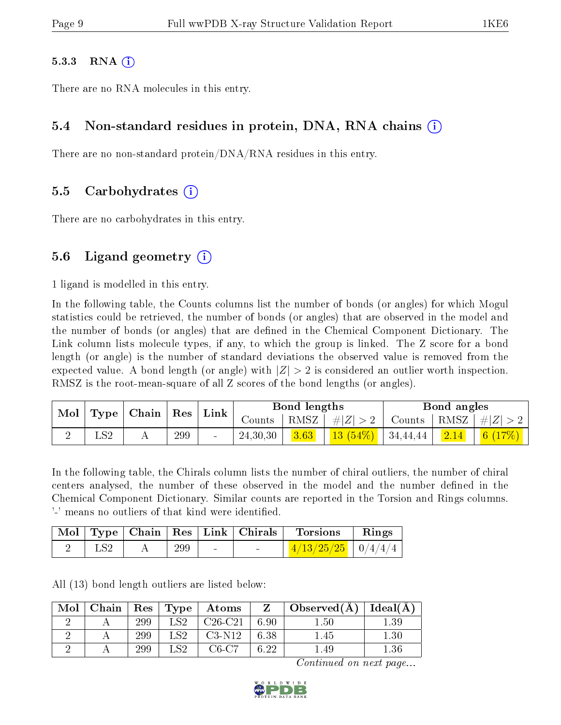#### $5.3.3$  RNA  $(i)$

There are no RNA molecules in this entry.

#### 5.4 Non-standard residues in protein, DNA, RNA chains (i)

There are no non-standard protein/DNA/RNA residues in this entry.

#### 5.5 Carbohydrates (i)

There are no carbohydrates in this entry.

### 5.6 Ligand geometry  $(i)$

1 ligand is modelled in this entry.

In the following table, the Counts columns list the number of bonds (or angles) for which Mogul statistics could be retrieved, the number of bonds (or angles) that are observed in the model and the number of bonds (or angles) that are defined in the Chemical Component Dictionary. The Link column lists molecule types, if any, to which the group is linked. The Z score for a bond length (or angle) is the number of standard deviations the observed value is removed from the expected value. A bond length (or angle) with  $|Z| > 2$  is considered an outlier worth inspection. RMSZ is the root-mean-square of all Z scores of the bond lengths (or angles).

| <b>Mol</b> |     | $\mid$ Type $\mid$ Chain $\mid$ | $^{\shortmid}$ $\operatorname{Res}$ | Link            |            | Bond lengths |                                   |        | Bond angles    |            |
|------------|-----|---------------------------------|-------------------------------------|-----------------|------------|--------------|-----------------------------------|--------|----------------|------------|
|            |     |                                 |                                     |                 | Counts-    |              | $ RMSZ $ # $ Z  > 2$              | Counts | RMSZ           | $ #Z  > 2$ |
|            | LS2 |                                 | 299                                 | $\qquad \qquad$ | 24, 30, 30 | 3.63         | , $\boxed{13\ (54\%)}$   34,44,44 |        | $\boxed{2.14}$ | 6 $(17%)$  |

In the following table, the Chirals column lists the number of chiral outliers, the number of chiral centers analysed, the number of these observed in the model and the number defined in the Chemical Component Dictionary. Similar counts are reported in the Torsion and Rings columns. '-' means no outliers of that kind were identified.

|  |     |        | Mol   Type   Chain   Res   Link   Chirals | <b>Torsions</b>        | Rings |
|--|-----|--------|-------------------------------------------|------------------------|-------|
|  | 299 | $\sim$ | <b>Contract Contract Contract</b>         | $4/13/25/25$   0/4/4/4 |       |

All (13) bond length outliers are listed below:

| Mol | Chain   Res   Type |     |      | Atoms     |          | Observed $(A)$ | Ideal $(A)$ |
|-----|--------------------|-----|------|-----------|----------|----------------|-------------|
|     |                    | 299 | . S2 | $C26-C21$ | 6.90     | $1.50\,$       | .39         |
|     |                    | 299 | LS2  | $C3-N12$  | 6.38     | .45            | $1.30\,$    |
|     |                    | 299 | 1.S2 | $C6-C7$   | $6.22\,$ | .49            | $.36\,$     |

Continued on next page...

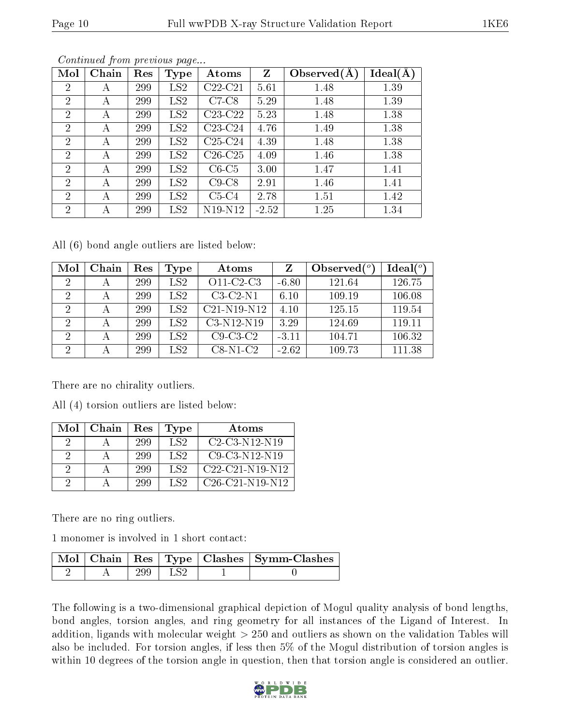|--|

| Mol            | Chain | $\operatorname{Res}% \left( \mathcal{N}\right) \equiv\operatorname{Res}(\mathcal{N}_{0})\left( \mathcal{N}_{0}\right) ^{\ast}\left( \mathcal{N}_{0}\right)$ | <b>Type</b>     | Atoms     | $\mathbf{Z}$ | Observed $(A)$ | Ideal(A) |
|----------------|-------|-------------------------------------------------------------------------------------------------------------------------------------------------------------|-----------------|-----------|--------------|----------------|----------|
| $\overline{2}$ | А     | 299                                                                                                                                                         | LS <sub>2</sub> | $C22-C21$ | 5.61         | 1.48           | 1.39     |
| $\overline{2}$ | A     | 299                                                                                                                                                         | LS2             | $C7-C8$   | 5.29         | 1.48           | 1.39     |
| $\overline{2}$ | А     | 299                                                                                                                                                         | LS2             | $C23-C22$ | 5.23         | 1.48           | 1.38     |
| $\overline{2}$ | А     | 299                                                                                                                                                         | LS2             | $C23-C24$ | 4.76         | 1.49           | 1.38     |
| $\overline{2}$ | А     | 299                                                                                                                                                         | LS2             | $C25-C24$ | 4.39         | 1.48           | 1.38     |
| $\overline{2}$ | А     | 299                                                                                                                                                         | LS2             | $C26-C25$ | 4.09         | 1.46           | 1.38     |
| $\overline{2}$ | А     | 299                                                                                                                                                         | LS2             | $C6-C5$   | 3.00         | 1.47           | 1.41     |
| $\overline{2}$ | А     | 299                                                                                                                                                         | LS2             | $C9-C8$   | 2.91         | 1.46           | 1.41     |
| $\overline{2}$ | А     | 299                                                                                                                                                         | LS2             | $C5-C4$   | 2.78         | 1.51           | 1.42     |
| $\overline{2}$ | А     | 299                                                                                                                                                         | LS <sub>2</sub> | N19-N12   | $-2.52$      | 1.25           | 1.34     |

Continued from previous page...

All (6) bond angle outliers are listed below:

| Mol            | Chain | Res | Type            | Atoms         |         | Observed $(°)$ | Ideal $(°)$ |
|----------------|-------|-----|-----------------|---------------|---------|----------------|-------------|
| $\overline{2}$ |       | 299 | LS2             | $O11-C2-C3$   | $-6.80$ | 121.64         | 126.75      |
| 2              |       | 299 | LS <sub>2</sub> | $C3-C2-N1$    | 6.10    | 109.19         | 106.08      |
| 2              |       | 299 | LS2             | $C21-N19-N12$ | 4.10    | 125.15         | 119.54      |
| $\overline{2}$ |       | 299 | LS2             | C3-N12-N19    | 3.29    | 124.69         | 119.11      |
| $\overline{2}$ |       | 299 | LS <sub>2</sub> | $C9-C3-C2$    | $-3.11$ | 104.71         | 106.32      |
| $\overline{2}$ |       | 299 | LS2             | $C8-N1-C2$    | $-2.62$ | 109.73         | 111.38      |

There are no chirality outliers.

All (4) torsion outliers are listed below:

| Mol      | Chain | Res | Type            | Atoms             |
|----------|-------|-----|-----------------|-------------------|
|          |       | 299 | LS <sub>2</sub> | $C2-C3-N12-N19$   |
|          |       | 299 | LS <sub>2</sub> | $C9-C3-N12-N19$   |
| $\Omega$ |       | 299 | LS2             | $C22-C21-N19-N12$ |
|          |       | 299 | LS <sub>2</sub> | $C26-C21-N19-N12$ |

There are no ring outliers.

1 monomer is involved in 1 short contact:

|  |             | Mol   Chain   Res   Type   Clashes   Symm-Clashes |
|--|-------------|---------------------------------------------------|
|  | $299$   LS2 |                                                   |

The following is a two-dimensional graphical depiction of Mogul quality analysis of bond lengths, bond angles, torsion angles, and ring geometry for all instances of the Ligand of Interest. In addition, ligands with molecular weight > 250 and outliers as shown on the validation Tables will also be included. For torsion angles, if less then 5% of the Mogul distribution of torsion angles is within 10 degrees of the torsion angle in question, then that torsion angle is considered an outlier.

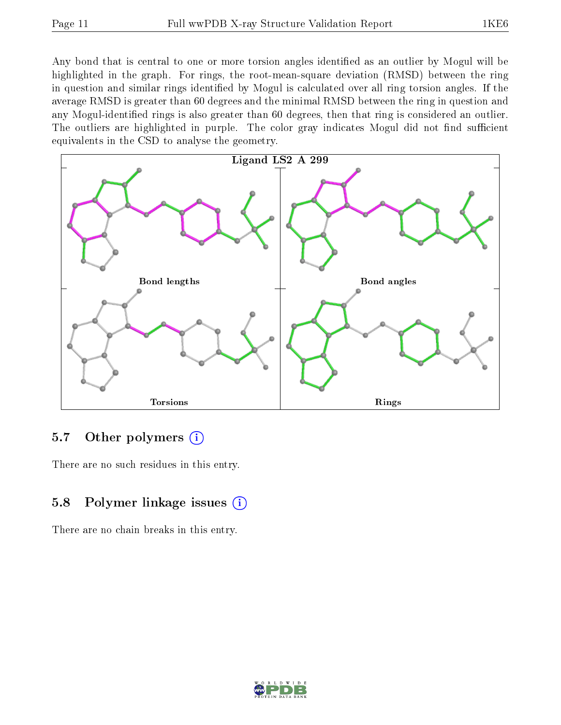Any bond that is central to one or more torsion angles identified as an outlier by Mogul will be highlighted in the graph. For rings, the root-mean-square deviation (RMSD) between the ring in question and similar rings identified by Mogul is calculated over all ring torsion angles. If the average RMSD is greater than 60 degrees and the minimal RMSD between the ring in question and any Mogul-identified rings is also greater than 60 degrees, then that ring is considered an outlier. The outliers are highlighted in purple. The color gray indicates Mogul did not find sufficient equivalents in the CSD to analyse the geometry.



### 5.7 [O](https://www.wwpdb.org/validation/2017/XrayValidationReportHelp#nonstandard_residues_and_ligands)ther polymers  $(i)$

There are no such residues in this entry.

### 5.8 Polymer linkage issues  $(i)$

There are no chain breaks in this entry.

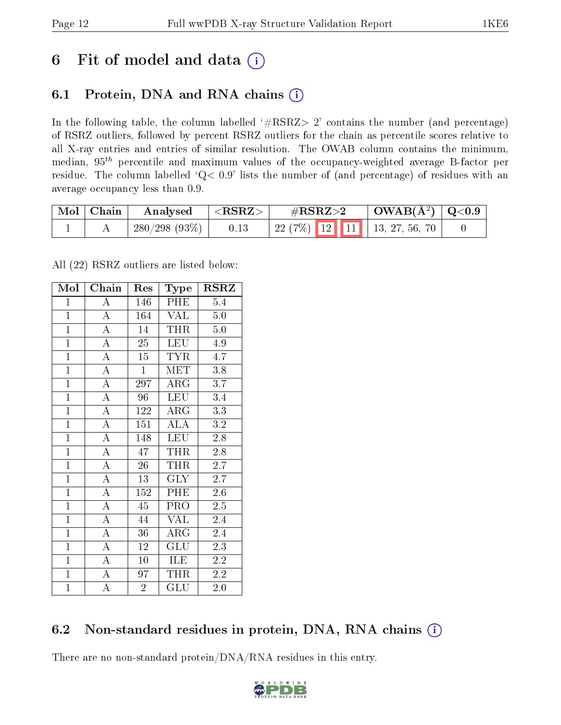## 6 Fit of model and data  $(i)$

## 6.1 Protein, DNA and RNA chains  $(i)$

In the following table, the column labelled  $#RSRZ> 2'$  contains the number (and percentage) of RSRZ outliers, followed by percent RSRZ outliers for the chain as percentile scores relative to all X-ray entries and entries of similar resolution. The OWAB column contains the minimum, median,  $95<sup>th</sup>$  percentile and maximum values of the occupancy-weighted average B-factor per residue. The column labelled ' $Q< 0.9$ ' lists the number of (and percentage) of residues with an average occupancy less than 0.9.

| Mol | Chain | Analysed     | ${ <\hspace{-1.5pt} {\rm RSRZ}\hspace{-1.5pt}>}$ | $\rm \#RSRZ{>}2$                   | $\text{OWAB}(\AA^2)   \text{Q}<0.9$ |  |
|-----|-------|--------------|--------------------------------------------------|------------------------------------|-------------------------------------|--|
|     |       | 280/298(93%) | 0.13                                             | 22 (7%)   12   11   13, 27, 56, 70 |                                     |  |

All (22) RSRZ outliers are listed below:

| Mol            | $\overline{\text{Chain}}$ | Res             | Type                           | <b>RSRZ</b>       |
|----------------|---------------------------|-----------------|--------------------------------|-------------------|
| $\mathbf{1}$   | $\boldsymbol{A}$          | 146             | PHE                            | 5.4               |
| $\overline{1}$ | $\overline{\rm A}$        | 164             | VAL                            | $5.0\,$           |
| $\overline{1}$ | $\overline{A}$            | 14              | <b>THR</b>                     | 5.0               |
| $\overline{1}$ | $\overline{\rm A}$        | $\overline{25}$ | $\overline{\text{L}}\text{EU}$ | 4.9               |
| $\overline{1}$ | $\overline{A}$            | $\overline{15}$ | <b>TYR</b>                     | $\overline{4}$ .7 |
| $\mathbf{1}$   | $\overline{\rm A}$        | $\mathbf{1}$    | <b>MET</b>                     | 3.8               |
| $\mathbf{1}$   | $\overline{\rm A}$        | 297             | $\rm{ARG}$                     | 3.7               |
| $\mathbf{1}$   | $\overline{A}$            | 96              | <b>LEU</b>                     | 3.4               |
| $\overline{1}$ | $\overline{\rm A}$        | 122             | $\rm{ARG}$                     | 3.3               |
| $\overline{1}$ | $\overline{A}$            | 151             | $\overline{\rm ALA}$           | 3.2               |
| $\overline{1}$ | $\overline{A}$            | 148             | <b>LEU</b>                     | 2.8               |
| $\mathbf{1}$   | $\overline{A}$            | 47              | THR                            | 2.8               |
| $\overline{1}$ | $\overline{A}$            | 26              | <b>THR</b>                     | 2.7               |
| $\overline{1}$ | $\overline{\rm A}$        | 13              | <b>GLY</b>                     | 2.7               |
| $\overline{1}$ | $\overline{A}$            | 152             | PHE                            | 2.6               |
| $\mathbf{1}$   | $\overline{A}$            | 45              | PRO                            | 2.5               |
| $\mathbf{1}$   | $\overline{\rm A}$        | 44              | <b>VAL</b>                     | 2.4               |
| $\overline{1}$ | $\overline{A}$            | 36              | $\rm{ARG}$                     | 2.4               |
| $\overline{1}$ | $\overline{A}$            | 12              | $\overline{{\rm GLU}}$         | 2.3               |
| $\overline{1}$ | $\overline{A}$            | 10              | ILE                            | 2.2               |
| $\mathbf{1}$   | $\overline{\rm A}$        | 97              | <b>THR</b>                     | 2.2               |
| $\overline{1}$ | A                         | $\overline{2}$  | GLU                            | 2.0               |

### 6.2 Non-standard residues in protein, DNA, RNA chains  $(i)$

There are no non-standard protein/DNA/RNA residues in this entry.